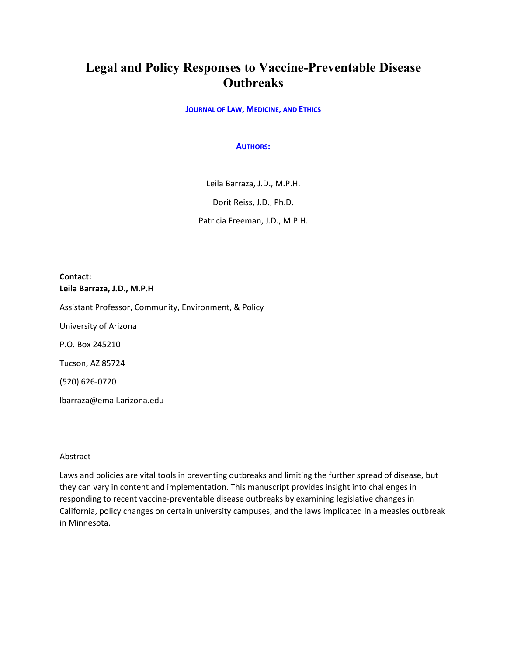# **Legal and Policy Responses to Vaccine-Preventable Disease Outbreaks**

**JOURNAL OF LAW, MEDICINE, AND ETHICS**

#### **AUTHORS:**

Leila Barraza, J.D., M.P.H.

Dorit Reiss, J.D., Ph.D.

Patricia Freeman, J.D., M.P.H.

# **Contact: Leila Barraza, J.D., M.P.H**

Assistant Professor, Community, Environment, & Policy

University of Arizona

P.O. Box 245210

Tucson, AZ 85724

(520) 626-0720

lbarraza@email.arizona.edu

# Abstract

Laws and policies are vital tools in preventing outbreaks and limiting the further spread of disease, but they can vary in content and implementation. This manuscript provides insight into challenges in responding to recent vaccine-preventable disease outbreaks by examining legislative changes in California, policy changes on certain university campuses, and the laws implicated in a measles outbreak in Minnesota.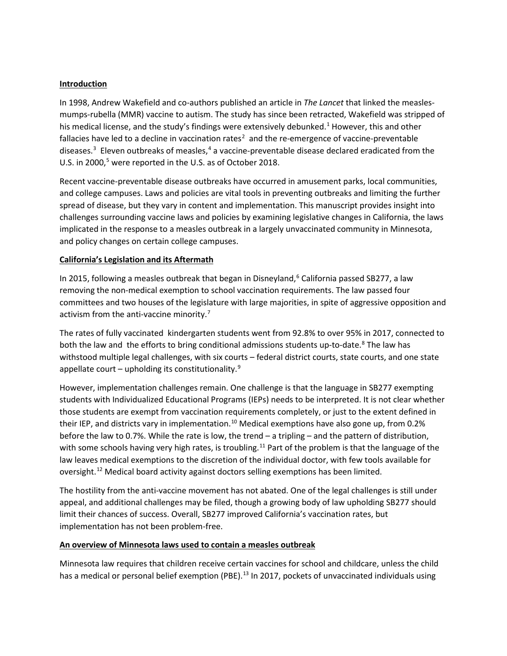# **Introduction**

In 1998, Andrew Wakefield and co-authors published an article in *The Lancet* that linked the measlesmumps-rubella (MMR) vaccine to autism. The study has since been retracted, Wakefield was stripped of his medical license, and the study's findings were extensively debunked.<sup>[1](#page-3-0)</sup> However, this and other fallacies have led to a decline in vaccination rates<sup>[2](#page-4-0)</sup> and the re-emergence of vaccine-preventable diseases.<sup>[3](#page-4-1)</sup> Eleven outbreaks of measles,<sup>[4](#page-4-2)</sup> a vaccine-preventable disease declared eradicated from the U.S. in 2000,<sup>[5](#page-4-3)</sup> were reported in the U.S. as of October 2018.

Recent vaccine-preventable disease outbreaks have occurred in amusement parks, local communities, and college campuses. Laws and policies are vital tools in preventing outbreaks and limiting the further spread of disease, but they vary in content and implementation. This manuscript provides insight into challenges surrounding vaccine laws and policies by examining legislative changes in California, the laws implicated in the response to a measles outbreak in a largely unvaccinated community in Minnesota, and policy changes on certain college campuses.

# **California's Legislation and its Aftermath**

In 2015, following a measles outbreak that began in Disneyland, [6](#page-4-4) California passed SB277, a law removing the non-medical exemption to school vaccination requirements. The law passed four committees and two houses of the legislature with large majorities, in spite of aggressive opposition and activism from the anti-vaccine minority.<sup>[7](#page-4-5)</sup>

The rates of fully vaccinated kindergarten students went from 92.8% to over 95% in 2017, connected to both the law and the efforts to bring conditional admissions students up-to-date.<sup>[8](#page-4-6)</sup> The law has withstood multiple legal challenges, with six courts – federal district courts, state courts, and one state appellate court – upholding its constitutionality. $9$ 

However, implementation challenges remain. One challenge is that the language in SB277 exempting students with Individualized Educational Programs (IEPs) needs to be interpreted. It is not clear whether those students are exempt from vaccination requirements completely, or just to the extent defined in their IEP, and districts vary in implementation.<sup>[10](#page-4-8)</sup> Medical exemptions have also gone up, from 0.2% before the law to 0.7%. While the rate is low, the trend – a tripling – and the pattern of distribution, with some schools having very high rates, is troubling.<sup>[11](#page-4-9)</sup> Part of the problem is that the language of the law leaves medical exemptions to the discretion of the individual doctor, with few tools available for oversight.<sup>[12](#page-4-10)</sup> Medical board activity against doctors selling exemptions has been limited.

The hostility from the anti-vaccine movement has not abated. One of the legal challenges is still under appeal, and additional challenges may be filed, though a growing body of law upholding SB277 should limit their chances of success. Overall, SB277 improved California's vaccination rates, but implementation has not been problem-free.

# **An overview of Minnesota laws used to contain a measles outbreak**

Minnesota law requires that children receive certain vaccines for school and childcare, unless the child has a medical or personal belief exemption (PBE).<sup>[13](#page-4-11)</sup> In 2017, pockets of unvaccinated individuals using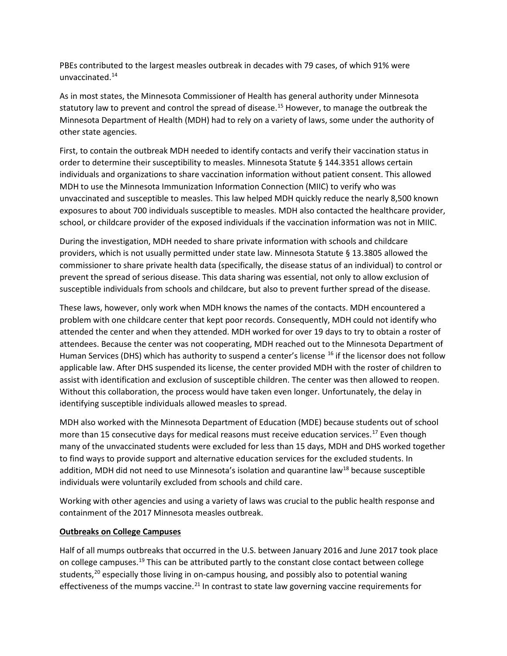PBEs contributed to the largest measles outbreak in decades with 79 cases, of which 91% were unvaccinated.[14](#page-4-12)

As in most states, the Minnesota Commissioner of Health has general authority under Minnesota statutory law to prevent and control the spread of disease.<sup>15</sup> However, to manage the outbreak the Minnesota Department of Health (MDH) had to rely on a variety of laws, some under the authority of other state agencies.

First, to contain the outbreak MDH needed to identify contacts and verify their vaccination status in order to determine their susceptibility to measles. Minnesota Statute § 144.3351 allows certain individuals and organizations to share vaccination information without patient consent. This allowed MDH to use the Minnesota Immunization Information Connection (MIIC) to verify who was unvaccinated and susceptible to measles. This law helped MDH quickly reduce the nearly 8,500 known exposures to about 700 individuals susceptible to measles. MDH also contacted the healthcare provider, school, or childcare provider of the exposed individuals if the vaccination information was not in MIIC.

During the investigation, MDH needed to share private information with schools and childcare providers, which is not usually permitted under state law. Minnesota Statute § 13.3805 allowed the commissioner to share private health data (specifically, the disease status of an individual) to control or prevent the spread of serious disease. This data sharing was essential, not only to allow exclusion of susceptible individuals from schools and childcare, but also to prevent further spread of the disease.

These laws, however, only work when MDH knows the names of the contacts. MDH encountered a problem with one childcare center that kept poor records. Consequently, MDH could not identify who attended the center and when they attended. MDH worked for over 19 days to try to obtain a roster of attendees. Because the center was not cooperating, MDH reached out to the Minnesota Department of Human Services (DHS) which has authority to suspend a center's license <sup>[16](#page-4-14)</sup> if the licensor does not follow applicable law. After DHS suspended its license, the center provided MDH with the roster of children to assist with identification and exclusion of susceptible children. The center was then allowed to reopen. Without this collaboration, the process would have taken even longer. Unfortunately, the delay in identifying susceptible individuals allowed measles to spread.

MDH also worked with the Minnesota Department of Education (MDE) because students out of school more than 15 consecutive days for medical reasons must receive education services.<sup>[17](#page-4-15)</sup> Even though many of the unvaccinated students were excluded for less than 15 days, MDH and DHS worked together to find ways to provide support and alternative education services for the excluded students. In addition, MDH did not need to use Minnesota's isolation and quarantine law<sup>[18](#page-4-16)</sup> because susceptible individuals were voluntarily excluded from schools and child care.

Working with other agencies and using a variety of laws was crucial to the public health response and containment of the 2017 Minnesota measles outbreak.

# **Outbreaks on College Campuses**

Half of all mumps outbreaks that occurred in the U.S. between January 2016 and June 2017 took place on college campuses.<sup>[19](#page-4-17)</sup> This can be attributed partly to the constant close contact between college students, $20$  especially those living in on-campus housing, and possibly also to potential waning effectiveness of the mumps vaccine.<sup>[21](#page-4-19)</sup> In contrast to state law governing vaccine requirements for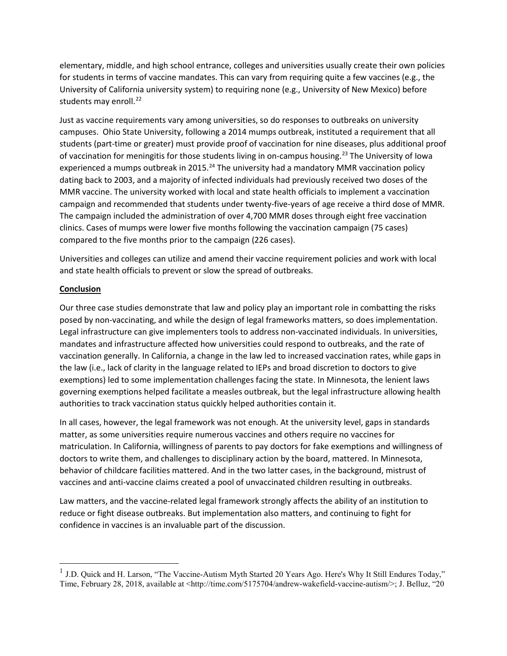elementary, middle, and high school entrance, colleges and universities usually create their own policies for students in terms of vaccine mandates. This can vary from requiring quite a few vaccines (e.g., the University of California university system) to requiring none (e.g., University of New Mexico) before students may enroll.<sup>[22](#page-4-20)</sup>

Just as vaccine requirements vary among universities, so do responses to outbreaks on university campuses. Ohio State University, following a 2014 mumps outbreak, instituted a requirement that all students (part-time or greater) must provide proof of vaccination for nine diseases, plus additional proof of vaccination for meningitis for those students living in on-campus housing.<sup>[23](#page-4-21)</sup> The University of Iowa experienced a mumps outbreak in 2015.<sup>[24](#page-4-22)</sup> The university had a mandatory MMR vaccination policy dating back to 2003, and a majority of infected individuals had previously received two doses of the MMR vaccine. The university worked with local and state health officials to implement a vaccination campaign and recommended that students under twenty-five-years of age receive a third dose of MMR. The campaign included the administration of over 4,700 MMR doses through eight free vaccination clinics. Cases of mumps were lower five months following the vaccination campaign (75 cases) compared to the five months prior to the campaign (226 cases).

Universities and colleges can utilize and amend their vaccine requirement policies and work with local and state health officials to prevent or slow the spread of outbreaks.

# **Conclusion**

l

Our three case studies demonstrate that law and policy play an important role in combatting the risks posed by non-vaccinating, and while the design of legal frameworks matters, so does implementation. Legal infrastructure can give implementers tools to address non-vaccinated individuals. In universities, mandates and infrastructure affected how universities could respond to outbreaks, and the rate of vaccination generally. In California, a change in the law led to increased vaccination rates, while gaps in the law (i.e., lack of clarity in the language related to IEPs and broad discretion to doctors to give exemptions) led to some implementation challenges facing the state. In Minnesota, the lenient laws governing exemptions helped facilitate a measles outbreak, but the legal infrastructure allowing health authorities to track vaccination status quickly helped authorities contain it.

In all cases, however, the legal framework was not enough. At the university level, gaps in standards matter, as some universities require numerous vaccines and others require no vaccines for matriculation. In California, willingness of parents to pay doctors for fake exemptions and willingness of doctors to write them, and challenges to disciplinary action by the board, mattered. In Minnesota, behavior of childcare facilities mattered. And in the two latter cases, in the background, mistrust of vaccines and anti-vaccine claims created a pool of unvaccinated children resulting in outbreaks.

Law matters, and the vaccine-related legal framework strongly affects the ability of an institution to reduce or fight disease outbreaks. But implementation also matters, and continuing to fight for confidence in vaccines is an invaluable part of the discussion.

<span id="page-3-0"></span><sup>&</sup>lt;sup>1</sup> J.D. Quick and H. Larson, "The Vaccine-Autism Myth Started 20 Years Ago. Here's Why It Still Endures Today," Time, February 28, 2018, available at <http://time.com/5175704/andrew-wakefield-vaccine-autism/>; J. Belluz, "20